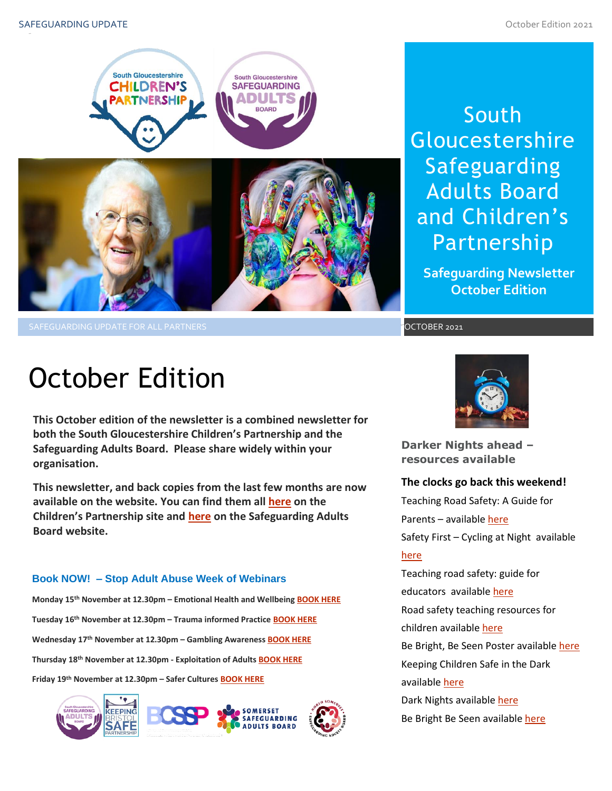

South Gloucestershire Safeguarding Adults Board and Children's Partnership

**Safeguarding Newsletter October Edition**

OCTOBER 2021

# October Edition

**This October edition of the newsletter is a combined newsletter for both the South Gloucestershire Children's Partnership and the Safeguarding Adults Board. Please share widely within your organisation.**

**This newsletter, and back copies from the last few months are now available on the website. You can find them al[l here](https://sites.southglos.gov.uk/safeguarding/children/safeguarding-children-board/scb-minutes-of-meetings/) on the Children's Partnership site and [here](https://sites.southglos.gov.uk/safeguarding/adults/safeguarding-adults-board/newsletters-2/) on the Safeguarding Adults Board website.**

#### **Book NOW! – Stop Adult Abuse Week of Webinars**

**Monday 15th November at 12.30pm – Emotional Health and Wellbeing [BOOK HERE](https://www.eventbrite.co.uk/e/165751010735) Tuesday 16th November at 12.30pm – Trauma informed Practice [BOOK HERE](https://www.eventbrite.co.uk/e/165776338491) Wednesday 17th November at 12.30pm – Gambling Awareness [BOOK HERE](https://www.eventbrite.co.uk/e/166286432195) Thursday 18th November at 12.30pm - Exploitation of Adults [BOOK HERE](https://www.eventbrite.co.uk/e/166292123217) Friday 19th November at 12.30pm – Safer Cultures [BOOK HERE](https://www.eventbrite.co.uk/e/166292349895)**





**Darker Nights ahead – resources available**

# **The clocks go back this weekend!**

Teaching Road Safety: A Guide for Parents – available [here](https://www.rospa.com/media/documents/road-safety/teaching-road-safety-a-guide-for-parents.pdf) Safety First – Cycling at Night available [here](https://www.cycletraining.co.uk/cycle-training-and-cycle-safety/safety-first-cycling-at-night/)

**ISSUE 28**<br>Road safety teaching resources for Teaching road safety: guide for educators available [here](https://www.brake.org.uk/how-we-help/raising-awareness/schools-and-families) children availabl[e here](https://www.think.gov.uk/education-resources/) Be Bright, Be Seen Poster available here Keeping Children Safe in the Dark availabl[e here](https://firstaidforlife.org.uk/keeping-children-safe-in-dark/) Dark Nights available [here](https://www.childcare.co.uk/information/dark-nights-children-safety)

Be Bright Be Seen available [here](https://brightkidz.co.uk/initiatives/be-bright-be-seen/)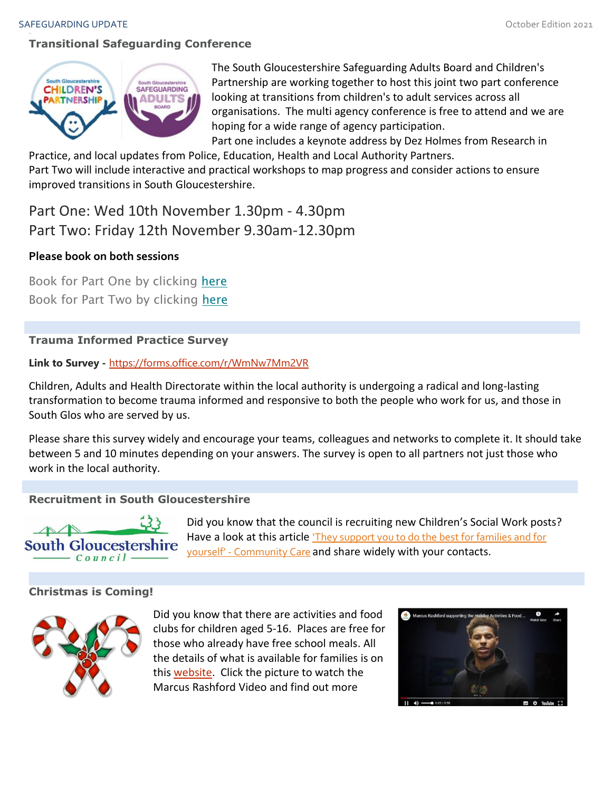# **Transitional Safeguarding Conference**



The South Gloucestershire Safeguarding Adults Board and Children's Partnership are working together to host this joint two part conference looking at transitions from children's to adult services across all organisations. The multi agency conference is free to attend and we are hoping for a wide range of agency participation.

Part one includes a keynote address by Dez Holmes from Research in Practice, and local updates from Police, Education, Health and Local Authority Partners.

Part Two will include interactive and practical workshops to map progress and consider actions to ensure improved transitions in South Gloucestershire.

Part One: Wed 10th November 1.30pm - 4.30pm Part Two: Friday 12th November 9.30am-12.30pm

# **Please book on both sessions**

Book for Part One by clicking [here](https://www.eventbrite.co.uk/e/185863020297) Book for Part Two by clicking [here](https://www.eventbrite.co.uk/e/185881987027)

# **Trauma Informed Practice Survey**

# **Link to Survey -** <https://forms.office.com/r/WmNw7Mm2VR>

Children, Adults and Health Directorate within the local authority is undergoing a radical and long-lasting transformation to become trauma informed and responsive to both the people who work for us, and those in South Glos who are served by us.

Please share this survey widely and encourage your teams, colleagues and networks to complete it. It should take between 5 and 10 minutes depending on your answers. The survey is open to all partners not just those who work in the local authority.

# **Recruitment in South Gloucestershire**



Did you know that the council is recruiting new Children's Social Work posts? Have a look at this article 'They support you to do the best for families and for yourself' - [Community Care](https://www.communitycare.co.uk/2021/10/28/they-support-you-to-do-the-best-for-families-and-for-yourself-ezc/) and share widely with your contacts.

# **Christmas is Coming!**



Did you know that there are activities and food clubs for children aged 5-16. Places are free for those who already have free school meals. All the details of what is available for families is on this [website.](https://beta.southglos.gov.uk/supporting-families-in-school-holidays/) Click the picture to watch the Marcus Rashford Video and find out more

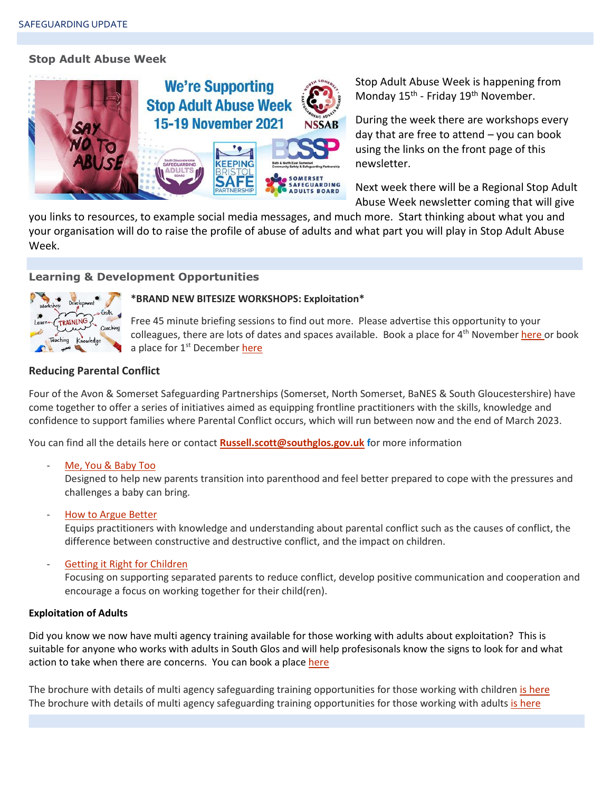#### **Stop Adult Abuse Week**



Stop Adult Abuse Week is happening from Monday 15<sup>th</sup> - Friday 19<sup>th</sup> November.

During the week there are workshops every day that are free to attend – you can book using the links on the front page of this newsletter.

Next week there will be a Regional Stop Adult Abuse Week newsletter coming that will give

you links to resources, to example social media messages, and much more. Start thinking about what you and your organisation will do to raise the profile of abuse of adults and what part you will play in Stop Adult Abuse Week.

#### **Learning & Development Opportunities**



#### **\*BRAND NEW BITESIZE WORKSHOPS: Exploitation\***

Free 45 minute briefing sessions to find out more. Please advertise this opportunity to your colleagues, t[here](https://www.eventbrite.co.uk/e/186029287607) are lots of dates and spaces available. Book a place for  $4<sup>th</sup>$  November here or book a place for 1<sup>st</sup> December [here](https://www.eventbrite.co.uk/e/186036418937)

#### **Reducing Parental Conflict**

Four of the Avon & Somerset Safeguarding Partnerships (Somerset, North Somerset, BaNES & South Gloucestershire) have come together to offer a series of initiatives aimed as equipping frontline practitioners with the skills, knowledge and confidence to support families where Parental Conflict occurs, which will run between now and the end of March 2023.

You can find all the details here or contact **[Russell.scott@southglos.gov.uk](mailto:Russell.scott@southglos.gov.uk) f**or more information

[Me, You & Baby Too](https://eur01.safelinks.protection.outlook.com/?url=https%3A%2F%2Fwww.oneplusone.org.uk%2Fpractitioner-guides%2Fmybt%2Fmybt-intro&data=04%7C01%7CSMacabee%40somerset.gov.uk%7C4e90174adead4242ad1908d97f63bd84%7Cb524f606f77a4aa28da2fe70343b0cce%7C0%7C0%7C637680888640463335%7CUnknown%7CTWFpbGZsb3d8eyJWIjoiMC4wLjAwMDAiLCJQIjoiV2luMzIiLCJBTiI6Ik1haWwiLCJXVCI6Mn0%3D%7C1000&sdata=5oW4nqR8mP67H5oTQVM4BCXQ4akZ3gVGmaWhwoCWm3s%3D&reserved=0)

Designed to help new parents transition into parenthood and feel better prepared to cope with the pressures and challenges a baby can bring.

[How to Argue Better](https://eur01.safelinks.protection.outlook.com/?url=https%3A%2F%2Fwww.oneplusone.org.uk%2Fpractitioner-guides%2Farguingbetter%2Farguingbetter-intro&data=04%7C01%7CSMacabee%40somerset.gov.uk%7C4e90174adead4242ad1908d97f63bd84%7Cb524f606f77a4aa28da2fe70343b0cce%7C0%7C0%7C637680888640463335%7CUnknown%7CTWFpbGZsb3d8eyJWIjoiMC4wLjAwMDAiLCJQIjoiV2luMzIiLCJBTiI6Ik1haWwiLCJXVCI6Mn0%3D%7C1000&sdata=f9pUoQeCBxryOkssLuqfxu7znQPlnxxpEy9BNpd%2BhXk%3D&reserved=0)

Equips practitioners with knowledge and understanding about parental conflict such as the causes of conflict, the difference between constructive and destructive conflict, and the impact on children.

[Getting it Right for Children](https://eur01.safelinks.protection.outlook.com/?url=https%3A%2F%2Fwww.oneplusone.org.uk%2Fpractitioner-guides-england%2Fgirfc%2Fgirfc-intro&data=04%7C01%7CSMacabee%40somerset.gov.uk%7C4e90174adead4242ad1908d97f63bd84%7Cb524f606f77a4aa28da2fe70343b0cce%7C0%7C0%7C637680888640473332%7CUnknown%7CTWFpbGZsb3d8eyJWIjoiMC4wLjAwMDAiLCJQIjoiV2luMzIiLCJBTiI6Ik1haWwiLCJXVCI6Mn0%3D%7C1000&sdata=GcfN7P4NyMqaZ67cwmHtDxScrWy%2FL%2F2BRnGXvUKRKUA%3D&reserved=0)

Focusing on supporting separated parents to reduce conflict, develop positive communication and cooperation and encourage a focus on working together for their child(ren).

#### **Exploitation of Adults**

Did you know we now have multi agency training available for those working with adults about exploitation? This is suitable for anyone who works with adults in South Glos and will help profesisonals know the signs to look for and what action to take when there are concerns. You can book a plac[e here](https://learning.southglos.gov.uk/courses/bookings/default.asp?ds=1&keyword=exploitation%20of%20adults)

The brochure with details of multi agency safeguarding training opportunities for those working with children [is here](https://sway.office.com/XecEFBowUyeP1T8W?ref=Link) The brochure with details of multi agency safeguarding training opportunities for those working with adults [is here](https://sway.office.com/t1V6fJqHugGmU9OO?ref=Link)